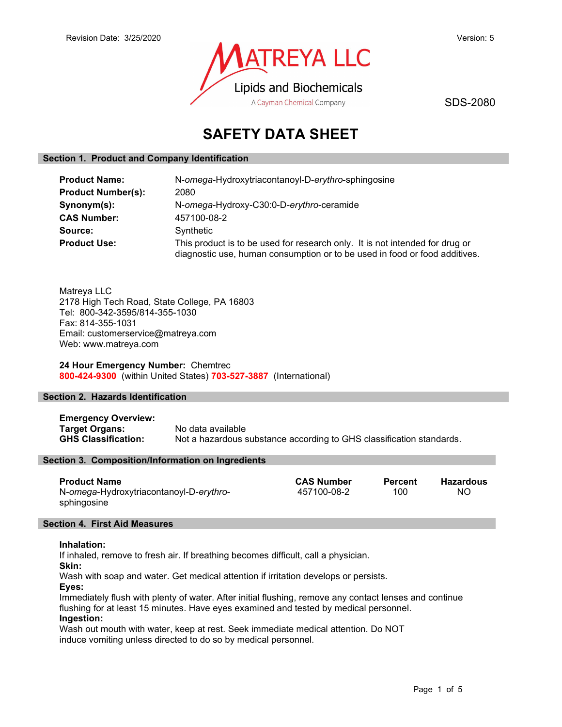

SDS-2080

# SAFETY DATA SHEET

## Section 1. Product and Company Identification

| <b>Product Name:</b>      | N-omega-Hydroxytriacontanoyl-D-erythro-sphingosine                                                                                                         |  |  |
|---------------------------|------------------------------------------------------------------------------------------------------------------------------------------------------------|--|--|
| <b>Product Number(s):</b> | 2080                                                                                                                                                       |  |  |
| Synonym(s):               | N-omega-Hydroxy-C30:0-D-erythro-ceramide                                                                                                                   |  |  |
| <b>CAS Number:</b>        | 457100-08-2                                                                                                                                                |  |  |
| Source:                   | Synthetic                                                                                                                                                  |  |  |
| <b>Product Use:</b>       | This product is to be used for research only. It is not intended for drug or<br>diagnostic use, human consumption or to be used in food or food additives. |  |  |

Matreya LLC 2178 High Tech Road, State College, PA 16803 Tel: 800-342-3595/814-355-1030 Fax: 814-355-1031 Email: customerservice@matreya.com Web: www.matreya.com

## 24 Hour Emergency Number: Chemtrec 800-424-9300 (within United States) 703-527-3887 (International)

## Section 2. Hazards Identification

Emergency Overview: Target Organs: No data available GHS Classification: Not a hazardous substance according to GHS classification standards.

## Section 3. Composition/Information on Ingredients

| <b>Product Name</b>                     | <b>CAS Number</b> | Percent | Hazardous |
|-----------------------------------------|-------------------|---------|-----------|
| N-omega-Hydroxytriacontanoyl-D-erythro- | 457100-08-2       | 100     | NΟ        |
| sphingosine                             |                   |         |           |

#### Section 4. First Aid Measures

#### Inhalation:

If inhaled, remove to fresh air. If breathing becomes difficult, call a physician.

Skin:

Wash with soap and water. Get medical attention if irritation develops or persists. Eyes:

Immediately flush with plenty of water. After initial flushing, remove any contact lenses and continue flushing for at least 15 minutes. Have eyes examined and tested by medical personnel. Ingestion:

Wash out mouth with water, keep at rest. Seek immediate medical attention. Do NOT induce vomiting unless directed to do so by medical personnel.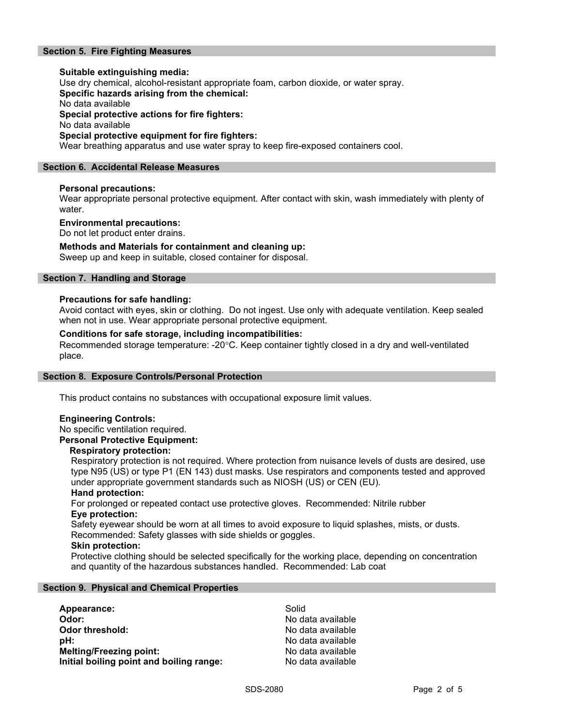## Section 5. Fire Fighting Measures

Suitable extinguishing media: Use dry chemical, alcohol-resistant appropriate foam, carbon dioxide, or water spray. Specific hazards arising from the chemical: No data available Special protective actions for fire fighters: No data available Special protective equipment for fire fighters: Wear breathing apparatus and use water spray to keep fire-exposed containers cool.

#### Section 6. Accidental Release Measures

#### Personal precautions:

Wear appropriate personal protective equipment. After contact with skin, wash immediately with plenty of water.

#### Environmental precautions:

Do not let product enter drains.

#### Methods and Materials for containment and cleaning up:

Sweep up and keep in suitable, closed container for disposal.

## Section 7. Handling and Storage

#### Precautions for safe handling:

Avoid contact with eyes, skin or clothing. Do not ingest. Use only with adequate ventilation. Keep sealed when not in use. Wear appropriate personal protective equipment.

#### Conditions for safe storage, including incompatibilities:

Recommended storage temperature: -20°C. Keep container tightly closed in a dry and well-ventilated place.

#### Section 8. Exposure Controls/Personal Protection

This product contains no substances with occupational exposure limit values.

## Engineering Controls:

No specific ventilation required.

## Personal Protective Equipment:

#### Respiratory protection:

Respiratory protection is not required. Where protection from nuisance levels of dusts are desired, use type N95 (US) or type P1 (EN 143) dust masks. Use respirators and components tested and approved under appropriate government standards such as NIOSH (US) or CEN (EU).

#### Hand protection:

For prolonged or repeated contact use protective gloves. Recommended: Nitrile rubber Eye protection:

Safety eyewear should be worn at all times to avoid exposure to liquid splashes, mists, or dusts. Recommended: Safety glasses with side shields or goggles.

#### Skin protection:

Protective clothing should be selected specifically for the working place, depending on concentration and quantity of the hazardous substances handled. Recommended: Lab coat

#### Section 9. Physical and Chemical Properties

| Appearance:                              | Solid             |
|------------------------------------------|-------------------|
| Odor:                                    | No data available |
| Odor threshold:                          | No data available |
| pH:                                      | No data available |
| <b>Melting/Freezing point:</b>           | No data available |
| Initial boiling point and boiling range: | No data available |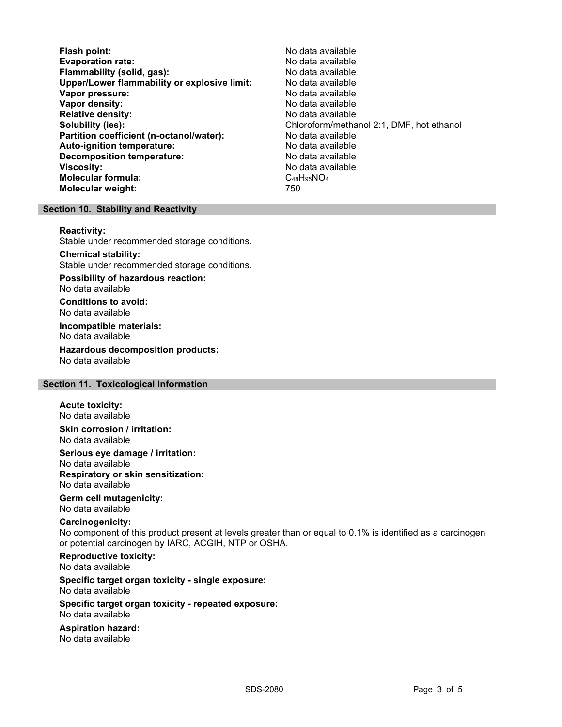Flash point: No data available Evaporation rate:<br>
Flammability (solid. gas): No data available Flammability (solid, gas): Upper/Lower flammability or explosive limit: No data available Vapor pressure: No data available **Vapor density:** No data available in the set of the set of the No data available Relative density: No data available Solubility (ies): Chloroform/methanol 2:1, DMF, hot ethanol 2:1, DMF, hot ethanol Partition coefficient (n-octanol/water): No data available Auto-ignition temperature: No data available Decomposition temperature: **Viscosity:** No data available and the set of the set of the set of the set of the set of the set of the set of the set of the set of the set of the set of the set of the set of the set of the set of the set of the set of Molecular formula: C48H95NO4 Molecular weight: 750

## Section 10. Stability and Reactivity

#### Reactivity:

Stable under recommended storage conditions.

Chemical stability: Stable under recommended storage conditions.

Possibility of hazardous reaction: No data available

Conditions to avoid: No data available

Incompatible materials: No data available

Hazardous decomposition products: No data available

#### Section 11. Toxicological Information

#### Acute toxicity:

No data available Skin corrosion / irritation:

No data available

Serious eye damage / irritation:

No data available Respiratory or skin sensitization: No data available

## Germ cell mutagenicity:

No data available

## Carcinogenicity:

No component of this product present at levels greater than or equal to 0.1% is identified as a carcinogen or potential carcinogen by IARC, ACGIH, NTP or OSHA.

Reproductive toxicity: No data available

Specific target organ toxicity - single exposure: No data available

#### Specific target organ toxicity - repeated exposure: No data available

Aspiration hazard: No data available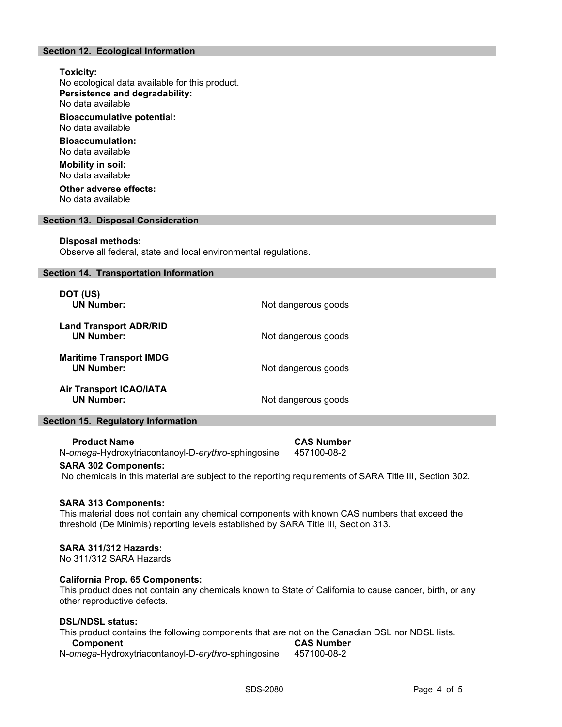## Section 12. Ecological Information

## Toxicity:

No ecological data available for this product. Persistence and degradability:

No data available

Bioaccumulative potential: No data available

Bioaccumulation: No data available

Mobility in soil: No data available

Other adverse effects: No data available

#### Section 13. Disposal Consideration

#### Disposal methods:

Observe all federal, state and local environmental regulations.

#### Section 14. Transportation Information

| DOT (US)<br><b>UN Number:</b>                       | Not dangerous goods |
|-----------------------------------------------------|---------------------|
| <b>Land Transport ADR/RID</b><br><b>UN Number:</b>  | Not dangerous goods |
| <b>Maritime Transport IMDG</b><br><b>UN Number:</b> | Not dangerous goods |
| <b>Air Transport ICAO/IATA</b><br><b>UN Number:</b> | Not dangerous goods |

#### Section 15. Regulatory Information

| <b>Product Name</b>                                | <b>CAS Number</b> |
|----------------------------------------------------|-------------------|
| N-omega-Hydroxytriacontanoyl-D-erythro-sphingosine | 457100-08-2       |

### SARA 302 Components:

No chemicals in this material are subject to the reporting requirements of SARA Title III, Section 302.

#### SARA 313 Components:

This material does not contain any chemical components with known CAS numbers that exceed the threshold (De Minimis) reporting levels established by SARA Title III, Section 313.

#### SARA 311/312 Hazards:

No 311/312 SARA Hazards

#### California Prop. 65 Components:

This product does not contain any chemicals known to State of California to cause cancer, birth, or any other reproductive defects.

#### DSL/NDSL status:

This product contains the following components that are not on the Canadian DSL nor NDSL lists.<br>Component **Component** N-omega-Hydroxytriacontanoyl-D-erythro-sphingosine 457100-08-2